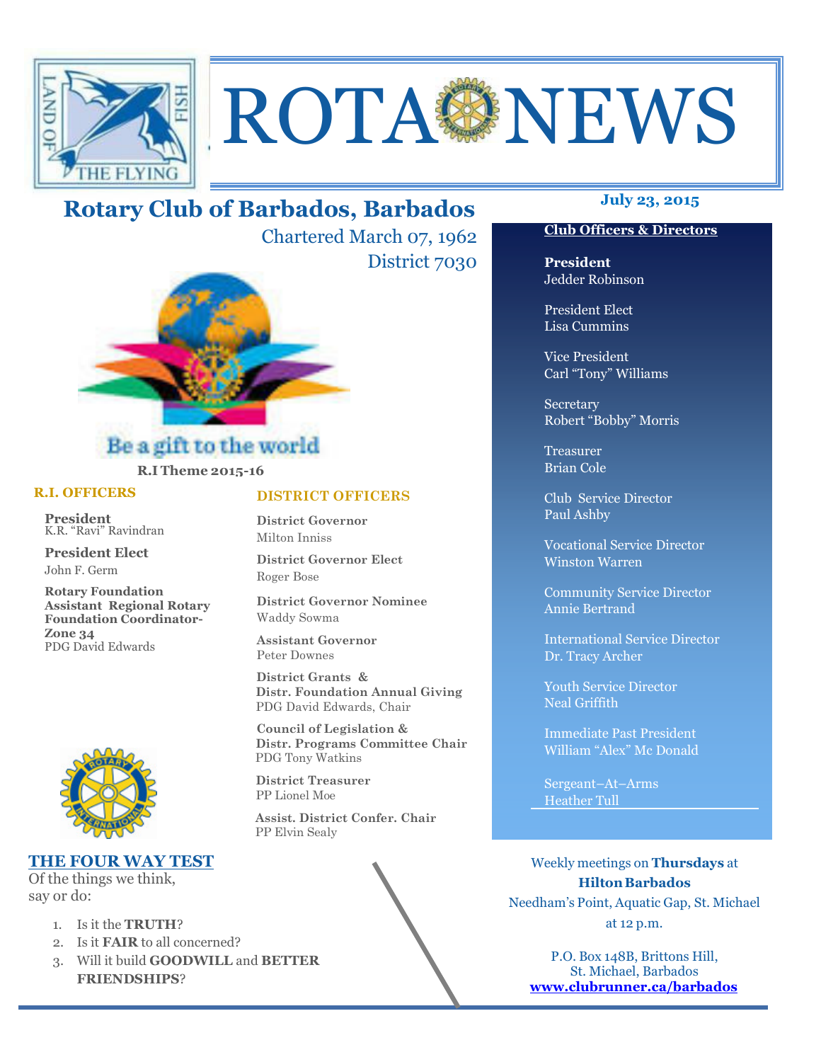

# **ROTA NEWS**

# **July 23, 2015 Rotary Club of Barbados, Barbados**

Chartered March 07, 1962 District 7030



## Be a gift to the world **R.I Theme 2015-16**

#### **R.I. OFFICERS**

**President** K.R. "Ravi" Ravindran

**President Elect** John F. Germ

**Rotary Foundation Assistant Regional Rotary Foundation Coordinator-Zone 34**  PDG David Edwards



### **THE FOUR WAY TEST**

Of the things we think, say or do:

Ī

- 1. Is it the **TRUTH**?
- 2. Is it **FAIR** to all concerned?
- 3. Will it build **GOODWILL** and **BETTER FRIENDSHIPS**?

#### **DISTRICT OFFICERS**

**District Governor** Milton Inniss

**District Governor Elect** Roger Bose

**District Governor Nominee**  Waddy Sowma

**Assistant Governor**  Peter Downes

 **District Grants & Distr. Foundation Annual Giving** PDG David Edwards, Chair

 **Council of Legislation & Distr. Programs Committee Chair** PDG Tony Watkins

 **District Treasurer**  PP Lionel Moe

 **Assist. District Confer. Chair**  PP Elvin Sealy

#### **Club Officers & Directors**

**President** Jedder Robinson

President Elect Lisa Cummins

Vice President Carl "Tony" Williams

Secretary Robert "Bobby" Morris

Treasurer Brian Cole

Club Service Director Paul Ashby

Vocational Service Director Winston Warren

Community Service Director Annie Bertrand

International Service Director Dr. Tracy Archer

Youth Service Director Neal Griffith

Immediate Past President William "Alex" Mc Donald

Sergeant–At–Arms Heather Tull

Weekly meetings on **Thursdays** at **Hilton Barbados** Needham's Point, Aquatic Gap, St. Michael at 12 p.m.

P.O. Box 148B, Brittons Hill, St. Michael, Barbados **www.clubrunner.ca/barbados**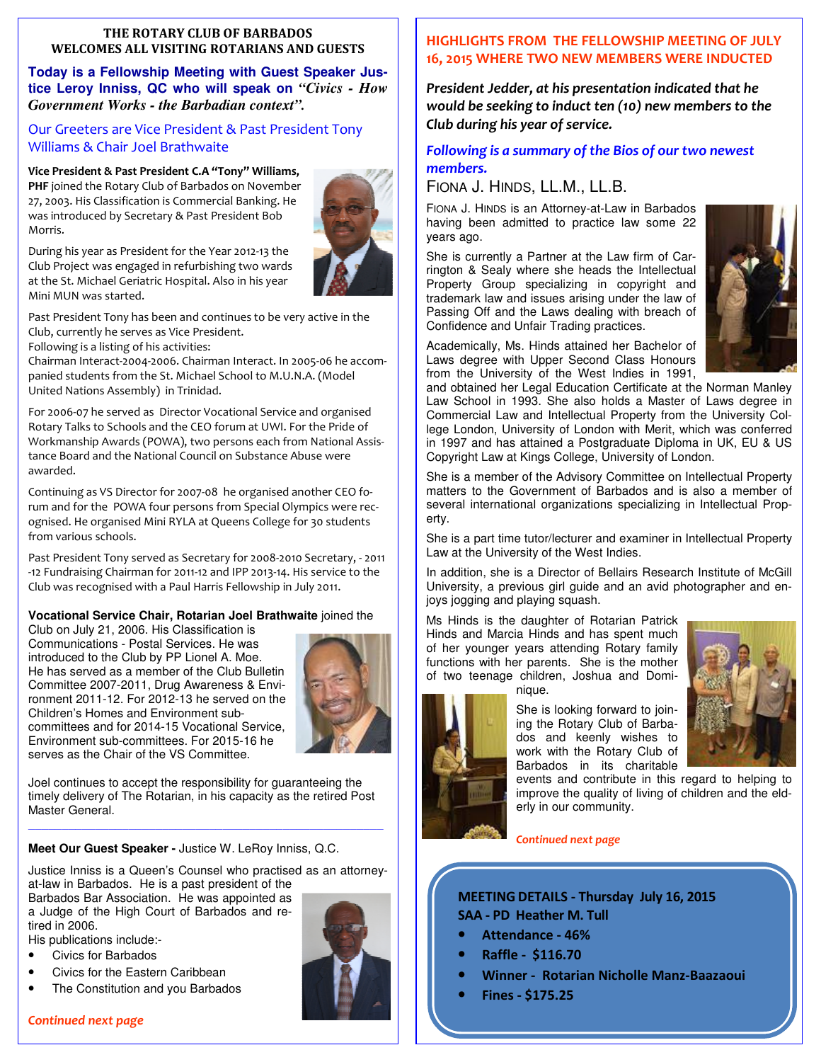#### **THE ROTARY CLUB OF BARBADOS WELCOMES ALL VISITING ROTARIANS AND GUESTS**

**Today is a Fellowship Meeting with Guest Speaker Justice Leroy Inniss, QC who will speak on** *"Civics - How Government Works - the Barbadian context".*

#### Our Greeters are Vice President & Past President Tony Williams & Chair Joel Brathwaite

#### **Vice President & Past President C.A "Tony" Williams,**

**PHF** joined the Rotary Club of Barbados on November 27, 2003. His Classification is Commercial Banking. He was introduced by Secretary & Past President Bob Morris.



During his year as President for the Year 2012-13 the Club Project was engaged in refurbishing two wards at the St. Michael Geriatric Hospital. Also in his year Mini MUN was started.

Past President Tony has been and continues to be very active in the Club, currently he serves as Vice President.

Following is a listing of his activities:

Chairman Interact-2004-2006. Chairman Interact. In 2005-06 he accompanied students from the St. Michael School to M.U.N.A. (Model United Nations Assembly) in Trinidad.

For 2006-07 he served as Director Vocational Service and organised Rotary Talks to Schools and the CEO forum at UWI. For the Pride of Workmanship Awards (POWA), two persons each from National Assistance Board and the National Council on Substance Abuse were awarded.

Continuing as VS Director for 2007-08 he organised another CEO forum and for the POWA four persons from Special Olympics were recognised. He organised Mini RYLA at Queens College for 30 students from various schools.

Past President Tony served as Secretary for 2008-2010 Secretary, - 2011 -12 Fundraising Chairman for 2011-12 and IPP 2013-14. His service to the Club was recognised with a Paul Harris Fellowship in July 2011.

#### **Vocational Service Chair, Rotarian Joel Brathwaite** joined the

Club on July 21, 2006. His Classification is Communications - Postal Services. He was introduced to the Club by PP Lionel A. Moe. He has served as a member of the Club Bulletin Committee 2007-2011, Drug Awareness & Environment 2011-12. For 2012-13 he served on the Children's Homes and Environment subcommittees and for 2014-15 Vocational Service, Environment sub-committees. For 2015-16 he serves as the Chair of the VS Committee.



Joel continues to accept the responsibility for guaranteeing the timely delivery of The Rotarian, in his capacity as the retired Post Master General.

**Meet Our Guest Speaker -** Justice W. LeRoy Inniss, Q.C.

Justice Inniss is a Queen's Counsel who practised as an attorneyat-law in Barbados. He is a past president of the

*—————————————————————————————————————————————————————* 

Barbados Bar Association. He was appointed as a Judge of the High Court of Barbados and retired in 2006.

His publications include:-

- Civics for Barbados
- Civics for the Eastern Caribbean
- The Constitution and you Barbados

#### **HIGHLIGHTS FROM THE FELLOWSHIP MEETING OF JULY 16, 2015 WHERE TWO NEW MEMBERS WERE INDUCTED**

*President Jedder, at his presentation indicated that he would be seeking to induct ten (10) new members to the Club during his year of service.* 

#### *Following is a summary of the Bios of our two newest members.*

### FIONA J. HINDS, LL.M., LL.B.

FIONA J. HINDS is an Attorney-at-Law in Barbados having been admitted to practice law some 22 years ago.

She is currently a Partner at the Law firm of Carrington & Sealy where she heads the Intellectual Property Group specializing in copyright and trademark law and issues arising under the law of Passing Off and the Laws dealing with breach of Confidence and Unfair Trading practices.



Academically, Ms. Hinds attained her Bachelor of Laws degree with Upper Second Class Honours from the University of the West Indies in 1991,

and obtained her Legal Education Certificate at the Norman Manley Law School in 1993. She also holds a Master of Laws degree in Commercial Law and Intellectual Property from the University College London, University of London with Merit, which was conferred in 1997 and has attained a Postgraduate Diploma in UK, EU & US Copyright Law at Kings College, University of London.

She is a member of the Advisory Committee on Intellectual Property matters to the Government of Barbados and is also a member of several international organizations specializing in Intellectual Property.

She is a part time tutor/lecturer and examiner in Intellectual Property Law at the University of the West Indies.

In addition, she is a Director of Bellairs Research Institute of McGill University, a previous girl guide and an avid photographer and enjoys jogging and playing squash.

Ms Hinds is the daughter of Rotarian Patrick Hinds and Marcia Hinds and has spent much of her younger years attending Rotary family functions with her parents. She is the mother of two teenage children, Joshua and Domi-

nique.



She is looking forward to joining the Rotary Club of Barbados and keenly wishes to work with the Rotary Club of

Barbados in its charitable events and contribute in this regard to helping to improve the quality of living of children and the elderly in our community.

*Continued next page* 

**MEETING DETAILS - Thursday July 16, 2015 SAA - PD Heather M. Tull** 

- **Attendance 46%**
- **Raffle \$116.70**
- **Winner Rotarian Nicholle Manz-Baazaoui**
- **Fines \$175.25**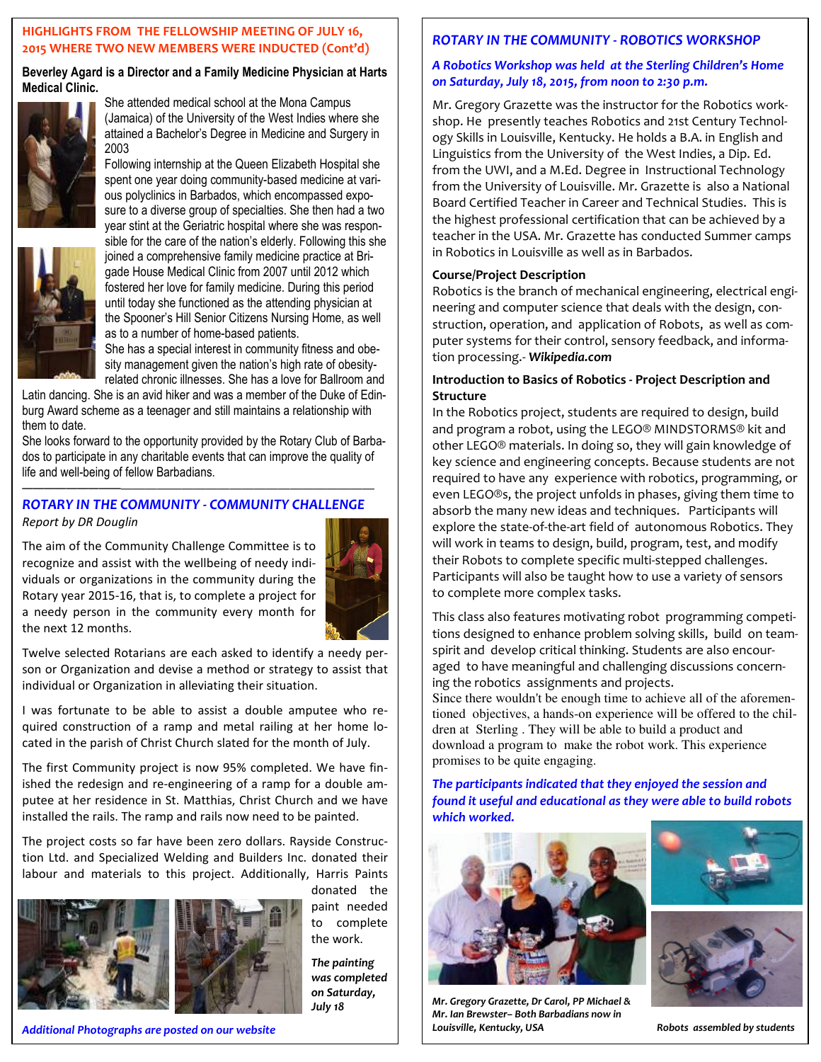#### **HIGHLIGHTS FROM THE FELLOWSHIP MEETING OF JULY 16, 2015 WHERE TWO NEW MEMBERS WERE INDUCTED (Cont'd)**

**Beverley Agard is a Director and a Family Medicine Physician at Harts Medical Clinic.** 



She attended medical school at the Mona Campus (Jamaica) of the University of the West Indies where she attained a Bachelor's Degree in Medicine and Surgery in 2003

Following internship at the Queen Elizabeth Hospital she spent one year doing community-based medicine at various polyclinics in Barbados, which encompassed exposure to a diverse group of specialties. She then had a two year stint at the Geriatric hospital where she was responsible for the care of the nation's elderly. Following this she joined a comprehensive family medicine practice at Brigade House Medical Clinic from 2007 until 2012 which fostered her love for family medicine. During this period until today she functioned as the attending physician at the Spooner's Hill Senior Citizens Nursing Home, as well

as to a number of home-based patients. She has a special interest in community fitness and obesity management given the nation's high rate of obesityrelated chronic illnesses. She has a love for Ballroom and

Latin dancing. She is an avid hiker and was a member of the Duke of Edinburg Award scheme as a teenager and still maintains a relationship with them to date.

She looks forward to the opportunity provided by the Rotary Club of Barbados to participate in any charitable events that can improve the quality of life and well-being of fellow Barbadians.

——————————————————————————————

#### *ROTARY IN THE COMMUNITY - COMMUNITY CHALLENGE Report by DR Douglin*

The aim of the Community Challenge Committee is to recognize and assist with the wellbeing of needy individuals or organizations in the community during the Rotary year 2015-16, that is, to complete a project for a needy person in the community every month for the next 12 months.



Twelve selected Rotarians are each asked to identify a needy person or Organization and devise a method or strategy to assist that individual or Organization in alleviating their situation.

I was fortunate to be able to assist a double amputee who required construction of a ramp and metal railing at her home located in the parish of Christ Church slated for the month of July.

The first Community project is now 95% completed. We have finished the redesign and re-engineering of a ramp for a double amputee at her residence in St. Matthias, Christ Church and we have installed the rails. The ramp and rails now need to be painted.

The project costs so far have been zero dollars. Rayside Construction Ltd. and Specialized Welding and Builders Inc. donated their labour and materials to this project. Additionally, Harris Paints



donated the paint needed to complete the work.

*The painting was completed on Saturday, July 18* 

#### *ROTARY IN THE COMMUNITY - ROBOTICS WORKSHOP*

#### *A Robotics Workshop was held at the Sterling Children's Home on Saturday, July 18, 2015, from noon to 2:30 p.m.*

Mr. Gregory Grazette was the instructor for the Robotics workshop. He presently teaches Robotics and 21st Century Technology Skills in Louisville, Kentucky. He holds a B.A. in English and Linguistics from the University of the West Indies, a Dip. Ed. from the UWI, and a M.Ed. Degree in Instructional Technology from the University of Louisville. Mr. Grazette is also a National Board Certified Teacher in Career and Technical Studies. This is the highest professional certification that can be achieved by a teacher in the USA. Mr. Grazette has conducted Summer camps in Robotics in Louisville as well as in Barbados.

#### **Course/Project Description**

Robotics is the branch of mechanical engineering, electrical engineering and computer science that deals with the design, construction, operation, and application of Robots, as well as computer systems for their control, sensory feedback, and information processing.- *Wikipedia.com*

#### **Introduction to Basics of Robotics - Project Description and Structure**

In the Robotics project, students are required to design, build and program a robot, using the LEGO® MINDSTORMS® kit and other LEGO® materials. In doing so, they will gain knowledge of key science and engineering concepts. Because students are not required to have any experience with robotics, programming, or even LEGO®s, the project unfolds in phases, giving them time to absorb the many new ideas and techniques. Participants will explore the state-of-the-art field of autonomous Robotics. They will work in teams to design, build, program, test, and modify their Robots to complete specific multi-stepped challenges. Participants will also be taught how to use a variety of sensors to complete more complex tasks.

This class also features motivating robot programming competitions designed to enhance problem solving skills, build on teamspirit and develop critical thinking. Students are also encouraged to have meaningful and challenging discussions concerning the robotics assignments and projects.

Since there wouldn't be enough time to achieve all of the aforementioned objectives, a hands-on experience will be offered to the children at Sterling . They will be able to build a product and download a program to make the robot work. This experience promises to be quite engaging.

*The participants indicated that they enjoyed the session and found it useful and educational as they were able to build robots which worked.* 



*Mr. Gregory Grazette, Dr Carol, PP Michael & Mr. Ian Brewster– Both Barbadians now in Louisville, Kentucky, USA Robots assembled by students* 



*Additional Photographs are posted on our website*